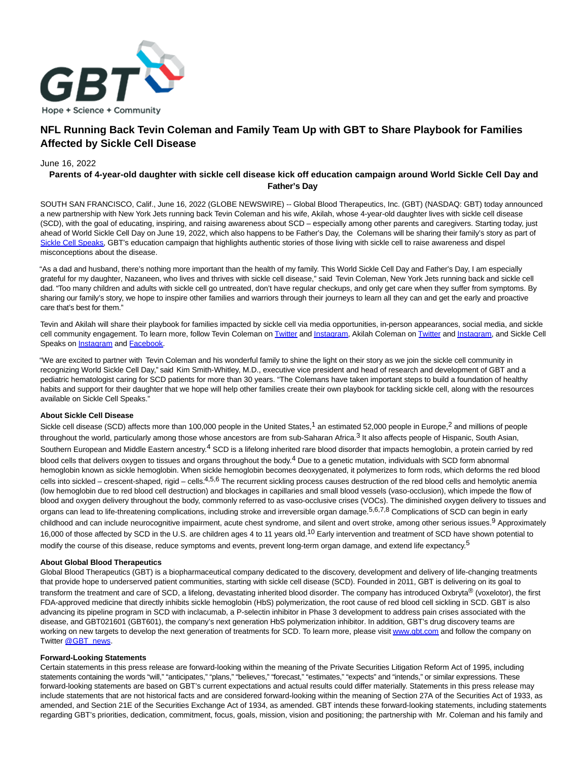

# **NFL Running Back Tevin Coleman and Family Team Up with GBT to Share Playbook for Families Affected by Sickle Cell Disease**

### June 16, 2022

## **Parents of 4-year-old daughter with sickle cell disease kick off education campaign around World Sickle Cell Day and Father's Day**

SOUTH SAN FRANCISCO, Calif., June 16, 2022 (GLOBE NEWSWIRE) -- Global Blood Therapeutics, Inc. (GBT) (NASDAQ: GBT) today announced a new partnership with New York Jets running back Tevin Coleman and his wife, Akilah, whose 4-year-old daughter lives with sickle cell disease (SCD), with the goal of educating, inspiring, and raising awareness about SCD – especially among other parents and caregivers. Starting today, just ahead of World Sickle Cell Day on June 19, 2022, which also happens to be Father's Day, the Colemans will be sharing their family's story as part of [Sickle Cell Speaks,](https://www.globenewswire.com/Tracker?data=BOB9YJTRpNfCJmmgl-nU-JfwRDr_W1wnbKNKyWOMbH5DKbD4MldO3_Zf6Q92l_VcwGUrFUGWZ3lYQDjCuNmpSyP2p24H9ClcPn1jWrdwDDE=) GBT's education campaign that highlights authentic stories of those living with sickle cell to raise awareness and dispel misconceptions about the disease.

"As a dad and husband, there's nothing more important than the health of my family. This World Sickle Cell Day and Father's Day, I am especially grateful for my daughter, Nazaneen, who lives and thrives with sickle cell disease," said Tevin Coleman, New York Jets running back and sickle cell dad. "Too many children and adults with sickle cell go untreated, don't have regular checkups, and only get care when they suffer from symptoms. By sharing our family's story, we hope to inspire other families and warriors through their journeys to learn all they can and get the early and proactive care that's best for them."

Tevin and Akilah will share their playbook for families impacted by sickle cell via media opportunities, in-person appearances, social media, and sickle cell community engagement. To learn more, follow Tevin Coleman o[n Twitter a](https://www.globenewswire.com/Tracker?data=zT9i_BYVvrpFPwZY3dJ_rUYGfLAO4Tm6YYwVvdh5Ldiu4OPR8e4nwynWEcnuhFejiPBMz-Z_spIlYDLtPf5xIg==)n[d Instagram,](https://www.globenewswire.com/Tracker?data=Lhj7oLuc0sP16S3-3Bu1s28hg41mebe8Zxv3PEk9IJNyANL1vzQKz2QghDH-iRc72HtzEM7bG5CxNeJ6G4FqvaeNPrVXJs1ayVnZfjdjz5c=) Akilah Coleman on [Twitter a](https://www.globenewswire.com/Tracker?data=zT9i_BYVvrpFPwZY3dJ_rf3bJcwjzzUd2RtR8Wy4Qeeicy2UhMdzex6qS5NVnLXqInIqZm5-2SE91Va7OPjVxw==)nd Instagram, and Sickle Cell Speaks on **Instagram** and **Facebook**.

"We are excited to partner with Tevin Coleman and his wonderful family to shine the light on their story as we join the sickle cell community in recognizing World Sickle Cell Day," said Kim Smith-Whitley, M.D., executive vice president and head of research and development of GBT and a pediatric hematologist caring for SCD patients for more than 30 years. "The Colemans have taken important steps to build a foundation of healthy habits and support for their daughter that we hope will help other families create their own playbook for tackling sickle cell, along with the resources available on Sickle Cell Speaks."

## **About Sickle Cell Disease**

Sickle cell disease (SCD) affects more than 100,000 people in the United States,<sup>1</sup> an estimated 52,000 people in Europe,<sup>2</sup> and millions of people throughout the world, particularly among those whose ancestors are from sub-Saharan Africa.<sup>3</sup> It also affects people of Hispanic, South Asian, Southern European and Middle Eastern ancestry.<sup>4</sup> SCD is a lifelong inherited rare blood disorder that impacts hemoglobin, a protein carried by red blood cells that delivers oxygen to tissues and organs throughout the body.<sup>4</sup> Due to a genetic mutation, individuals with SCD form abnormal hemoglobin known as sickle hemoglobin. When sickle hemoglobin becomes deoxygenated, it polymerizes to form rods, which deforms the red blood cells into sickled – crescent-shaped, rigid – cells.<sup>4,5,6</sup> The recurrent sickling process causes destruction of the red blood cells and hemolytic anemia (low hemoglobin due to red blood cell destruction) and blockages in capillaries and small blood vessels (vaso-occlusion), which impede the flow of blood and oxygen delivery throughout the body, commonly referred to as vaso-occlusive crises (VOCs). The diminished oxygen delivery to tissues and organs can lead to life-threatening complications, including stroke and irreversible organ damage.<sup>5,6,7,8</sup> Complications of SCD can begin in early childhood and can include neurocognitive impairment, acute chest syndrome, and silent and overt stroke, among other serious issues.<sup>9</sup> Approximately 16,000 of those affected by SCD in the U.S. are children ages 4 to 11 years old.<sup>10</sup> Early intervention and treatment of SCD have shown potential to modify the course of this disease, reduce symptoms and events, prevent long-term organ damage, and extend life expectancy.<sup>5</sup>

#### **About Global Blood Therapeutics**

Global Blood Therapeutics (GBT) is a biopharmaceutical company dedicated to the discovery, development and delivery of life-changing treatments that provide hope to underserved patient communities, starting with sickle cell disease (SCD). Founded in 2011, GBT is delivering on its goal to transform the treatment and care of SCD, a lifelong, devastating inherited blood disorder. The company has introduced Oxbryta® (voxelotor), the first FDA-approved medicine that directly inhibits sickle hemoglobin (HbS) polymerization, the root cause of red blood cell sickling in SCD. GBT is also advancing its pipeline program in SCD with inclacumab, a P-selectin inhibitor in Phase 3 development to address pain crises associated with the disease, and GBT021601 (GBT601), the company's next generation HbS polymerization inhibitor. In addition, GBT's drug discovery teams are working on new targets to develop the next generation of treatments for SCD. To learn more, please visi[t www.gbt.com a](https://www.globenewswire.com/Tracker?data=EajsXBQPzpwSyklu2ygVe8bpSd37-AlS_1ELntM0cq2I1GRFQLLPPAOIez_OI2pAZZC0yVPlT5FueXST3JO5gA==)nd follow the company on Twitter [@GBT\\_news.](https://www.globenewswire.com/Tracker?data=BhDRe_qJBmDNXlwOt49Y7DyJWTRP8Y61eOIlJiVZryVfFlZgfN0Z9HI3sAS7xHOBb2ZmV7YFrzlBzCPESpzaeQ==)

#### **Forward-Looking Statements**

Certain statements in this press release are forward-looking within the meaning of the Private Securities Litigation Reform Act of 1995, including statements containing the words "will," "anticipates," "plans," "believes," "forecast," "estimates," "expects" and "intends," or similar expressions. These forward-looking statements are based on GBT's current expectations and actual results could differ materially. Statements in this press release may include statements that are not historical facts and are considered forward-looking within the meaning of Section 27A of the Securities Act of 1933, as amended, and Section 21E of the Securities Exchange Act of 1934, as amended. GBT intends these forward-looking statements, including statements regarding GBT's priorities, dedication, commitment, focus, goals, mission, vision and positioning; the partnership with Mr. Coleman and his family and